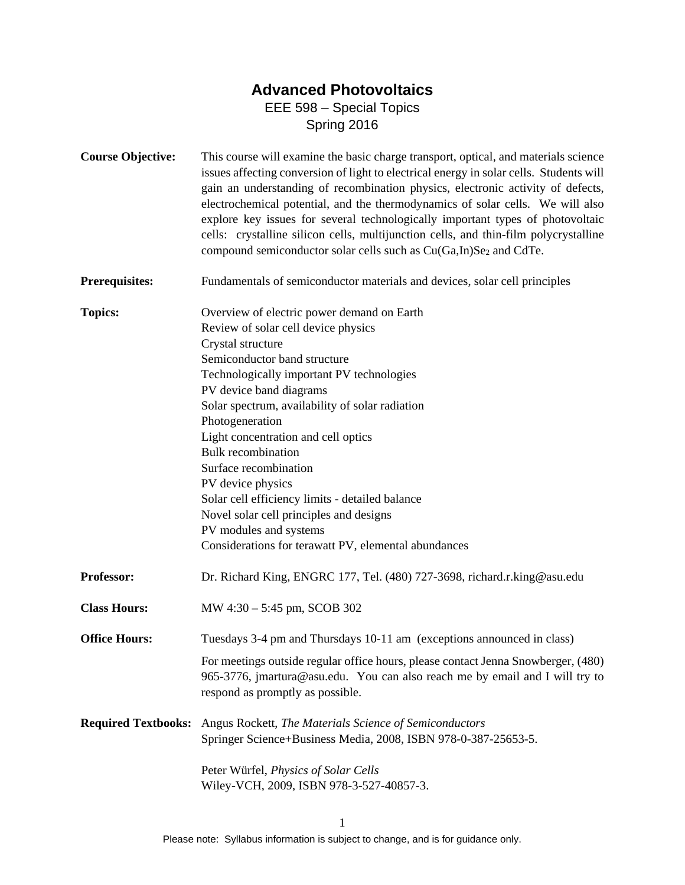## **Advanced Photovoltaics**  EEE 598 – Special Topics

Spring 2016

| <b>Course Objective:</b>   | This course will examine the basic charge transport, optical, and materials science<br>issues affecting conversion of light to electrical energy in solar cells. Students will<br>gain an understanding of recombination physics, electronic activity of defects,<br>electrochemical potential, and the thermodynamics of solar cells. We will also<br>explore key issues for several technologically important types of photovoltaic<br>cells: crystalline silicon cells, multijunction cells, and thin-film polycrystalline<br>compound semiconductor solar cells such as Cu(Ga,In)Se <sub>2</sub> and CdTe. |  |  |
|----------------------------|----------------------------------------------------------------------------------------------------------------------------------------------------------------------------------------------------------------------------------------------------------------------------------------------------------------------------------------------------------------------------------------------------------------------------------------------------------------------------------------------------------------------------------------------------------------------------------------------------------------|--|--|
| <b>Prerequisites:</b>      | Fundamentals of semiconductor materials and devices, solar cell principles                                                                                                                                                                                                                                                                                                                                                                                                                                                                                                                                     |  |  |
| <b>Topics:</b>             | Overview of electric power demand on Earth<br>Review of solar cell device physics<br>Crystal structure<br>Semiconductor band structure<br>Technologically important PV technologies<br>PV device band diagrams<br>Solar spectrum, availability of solar radiation<br>Photogeneration<br>Light concentration and cell optics<br><b>Bulk</b> recombination<br>Surface recombination<br>PV device physics<br>Solar cell efficiency limits - detailed balance<br>Novel solar cell principles and designs<br>PV modules and systems<br>Considerations for terawatt PV, elemental abundances                         |  |  |
| Professor:                 | Dr. Richard King, ENGRC 177, Tel. (480) 727-3698, richard.r.king@asu.edu                                                                                                                                                                                                                                                                                                                                                                                                                                                                                                                                       |  |  |
| <b>Class Hours:</b>        | MW 4:30 - 5:45 pm, SCOB 302                                                                                                                                                                                                                                                                                                                                                                                                                                                                                                                                                                                    |  |  |
| <b>Office Hours:</b>       | Tuesdays 3-4 pm and Thursdays 10-11 am (exceptions announced in class)<br>For meetings outside regular office hours, please contact Jenna Snowberger, (480)<br>965-3776, jmartura@asu.edu. You can also reach me by email and I will try to<br>respond as promptly as possible.                                                                                                                                                                                                                                                                                                                                |  |  |
| <b>Required Textbooks:</b> | Angus Rockett, The Materials Science of Semiconductors<br>Springer Science+Business Media, 2008, ISBN 978-0-387-25653-5.<br>Peter Würfel, Physics of Solar Cells<br>Wiley-VCH, 2009, ISBN 978-3-527-40857-3.                                                                                                                                                                                                                                                                                                                                                                                                   |  |  |